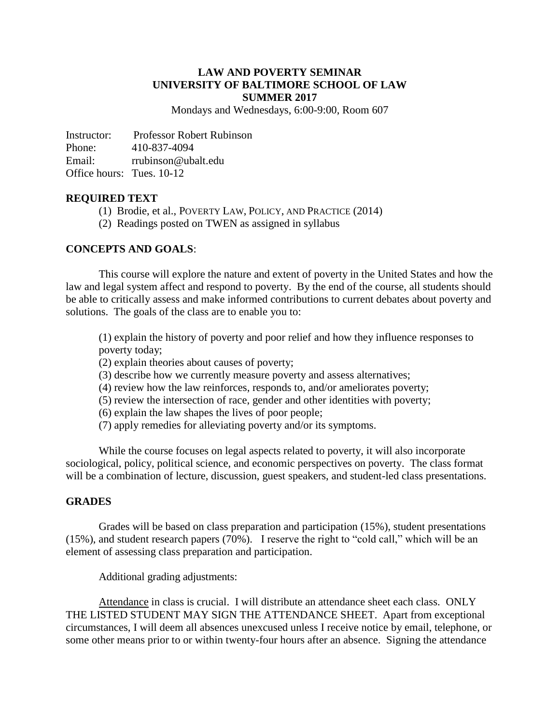#### **LAW AND POVERTY SEMINAR UNIVERSITY OF BALTIMORE SCHOOL OF LAW SUMMER 2017**

Mondays and Wednesdays, 6:00-9:00, Room 607

Instructor: Professor Robert Rubinson Phone: 410-837-4094 Email: rrubinson@ubalt.edu Office hours: Tues. 10-12

#### **REQUIRED TEXT**

- (1) Brodie, et al., POVERTY LAW, POLICY, AND PRACTICE (2014)
- (2) Readings posted on TWEN as assigned in syllabus

#### **CONCEPTS AND GOALS**:

This course will explore the nature and extent of poverty in the United States and how the law and legal system affect and respond to poverty. By the end of the course, all students should be able to critically assess and make informed contributions to current debates about poverty and solutions. The goals of the class are to enable you to:

(1) explain the history of poverty and poor relief and how they influence responses to poverty today;

- (2) explain theories about causes of poverty;
- (3) describe how we currently measure poverty and assess alternatives;
- (4) review how the law reinforces, responds to, and/or ameliorates poverty;
- (5) review the intersection of race, gender and other identities with poverty;
- (6) explain the law shapes the lives of poor people;
- (7) apply remedies for alleviating poverty and/or its symptoms.

While the course focuses on legal aspects related to poverty, it will also incorporate sociological, policy, political science, and economic perspectives on poverty. The class format will be a combination of lecture, discussion, guest speakers, and student-led class presentations.

## **GRADES**

Grades will be based on class preparation and participation (15%), student presentations (15%), and student research papers (70%). I reserve the right to "cold call," which will be an element of assessing class preparation and participation.

Additional grading adjustments:

Attendance in class is crucial. I will distribute an attendance sheet each class. ONLY THE LISTED STUDENT MAY SIGN THE ATTENDANCE SHEET. Apart from exceptional circumstances, I will deem all absences unexcused unless I receive notice by email, telephone, or some other means prior to or within twenty-four hours after an absence. Signing the attendance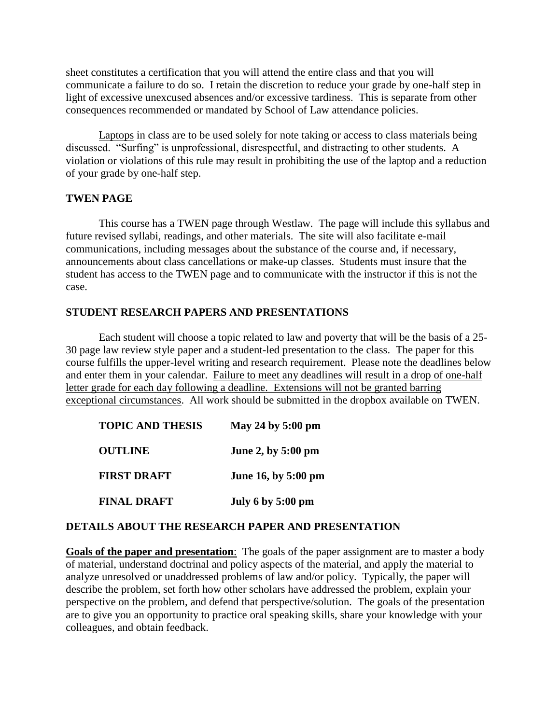sheet constitutes a certification that you will attend the entire class and that you will communicate a failure to do so. I retain the discretion to reduce your grade by one-half step in light of excessive unexcused absences and/or excessive tardiness. This is separate from other consequences recommended or mandated by School of Law attendance policies.

Laptops in class are to be used solely for note taking or access to class materials being discussed. "Surfing" is unprofessional, disrespectful, and distracting to other students. A violation or violations of this rule may result in prohibiting the use of the laptop and a reduction of your grade by one-half step.

## **TWEN PAGE**

This course has a TWEN page through Westlaw. The page will include this syllabus and future revised syllabi, readings, and other materials. The site will also facilitate e-mail communications, including messages about the substance of the course and, if necessary, announcements about class cancellations or make-up classes. Students must insure that the student has access to the TWEN page and to communicate with the instructor if this is not the case.

## **STUDENT RESEARCH PAPERS AND PRESENTATIONS**

Each student will choose a topic related to law and poverty that will be the basis of a 25- 30 page law review style paper and a student-led presentation to the class. The paper for this course fulfills the upper-level writing and research requirement. Please note the deadlines below and enter them in your calendar. Failure to meet any deadlines will result in a drop of one-half letter grade for each day following a deadline. Extensions will not be granted barring exceptional circumstances. All work should be submitted in the dropbox available on TWEN.

| <b>TOPIC AND THESIS</b> | May 24 by $5:00 \text{ pm}$ |
|-------------------------|-----------------------------|
| <b>OUTLINE</b>          | June 2, by 5:00 pm          |
| <b>FIRST DRAFT</b>      | June 16, by 5:00 pm         |
| <b>FINAL DRAFT</b>      | <b>July 6 by 5:00 pm</b>    |

#### **DETAILS ABOUT THE RESEARCH PAPER AND PRESENTATION**

**Goals of the paper and presentation**: The goals of the paper assignment are to master a body of material, understand doctrinal and policy aspects of the material, and apply the material to analyze unresolved or unaddressed problems of law and/or policy. Typically, the paper will describe the problem, set forth how other scholars have addressed the problem, explain your perspective on the problem, and defend that perspective/solution. The goals of the presentation are to give you an opportunity to practice oral speaking skills, share your knowledge with your colleagues, and obtain feedback.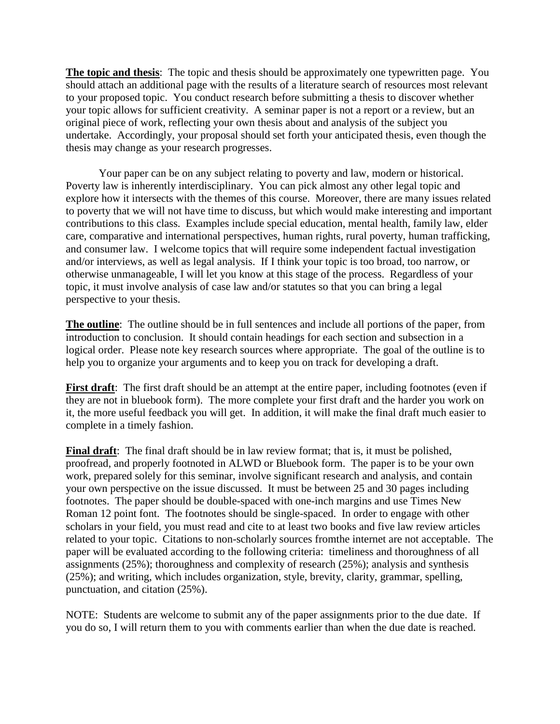**The topic and thesis**: The topic and thesis should be approximately one typewritten page. You should attach an additional page with the results of a literature search of resources most relevant to your proposed topic. You conduct research before submitting a thesis to discover whether your topic allows for sufficient creativity. A seminar paper is not a report or a review, but an original piece of work, reflecting your own thesis about and analysis of the subject you undertake. Accordingly, your proposal should set forth your anticipated thesis, even though the thesis may change as your research progresses.

Your paper can be on any subject relating to poverty and law, modern or historical. Poverty law is inherently interdisciplinary. You can pick almost any other legal topic and explore how it intersects with the themes of this course. Moreover, there are many issues related to poverty that we will not have time to discuss, but which would make interesting and important contributions to this class. Examples include special education, mental health, family law, elder care, comparative and international perspectives, human rights, rural poverty, human trafficking, and consumer law. I welcome topics that will require some independent factual investigation and/or interviews, as well as legal analysis. If I think your topic is too broad, too narrow, or otherwise unmanageable, I will let you know at this stage of the process. Regardless of your topic, it must involve analysis of case law and/or statutes so that you can bring a legal perspective to your thesis.

**The outline**: The outline should be in full sentences and include all portions of the paper, from introduction to conclusion. It should contain headings for each section and subsection in a logical order. Please note key research sources where appropriate. The goal of the outline is to help you to organize your arguments and to keep you on track for developing a draft.

**First draft**: The first draft should be an attempt at the entire paper, including footnotes (even if they are not in bluebook form). The more complete your first draft and the harder you work on it, the more useful feedback you will get. In addition, it will make the final draft much easier to complete in a timely fashion.

**Final draft**: The final draft should be in law review format; that is, it must be polished, proofread, and properly footnoted in ALWD or Bluebook form. The paper is to be your own work, prepared solely for this seminar, involve significant research and analysis, and contain your own perspective on the issue discussed. It must be between 25 and 30 pages including footnotes. The paper should be double-spaced with one-inch margins and use Times New Roman 12 point font. The footnotes should be single-spaced. In order to engage with other scholars in your field, you must read and cite to at least two books and five law review articles related to your topic. Citations to non-scholarly sources fromthe internet are not acceptable. The paper will be evaluated according to the following criteria: timeliness and thoroughness of all assignments (25%); thoroughness and complexity of research (25%); analysis and synthesis (25%); and writing, which includes organization, style, brevity, clarity, grammar, spelling, punctuation, and citation (25%).

NOTE: Students are welcome to submit any of the paper assignments prior to the due date. If you do so, I will return them to you with comments earlier than when the due date is reached.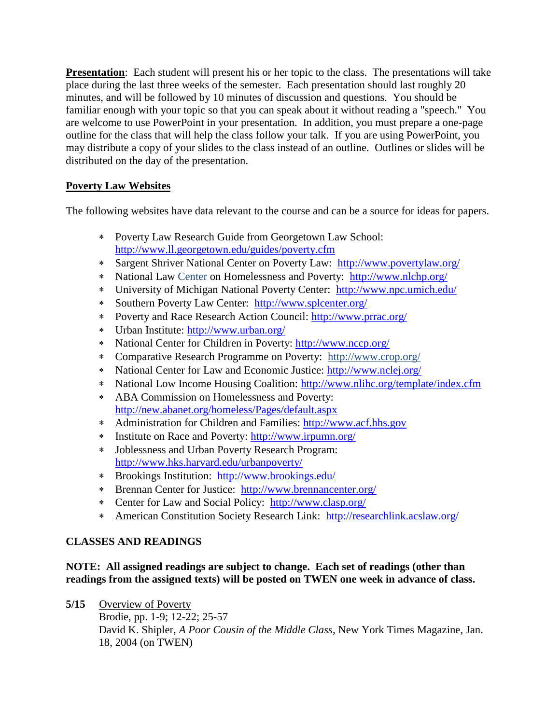**Presentation**: Each student will present his or her topic to the class. The presentations will take place during the last three weeks of the semester. Each presentation should last roughly 20 minutes, and will be followed by 10 minutes of discussion and questions. You should be familiar enough with your topic so that you can speak about it without reading a "speech." You are welcome to use PowerPoint in your presentation. In addition, you must prepare a one-page outline for the class that will help the class follow your talk. If you are using PowerPoint, you may distribute a copy of your slides to the class instead of an outline. Outlines or slides will be distributed on the day of the presentation.

# **Poverty Law Websites**

The following websites have data relevant to the course and can be a source for ideas for papers.

- Poverty Law Research Guide from Georgetown Law School: <http://www.ll.georgetown.edu/guides/poverty.cfm>
- Sargent Shriver National Center on Poverty Law: <http://www.povertylaw.org/>
- National Law Center on Homelessness and Poverty: <http://www.nlchp.org/>
- University of Michigan National Poverty Center: <http://www.npc.umich.edu/>
- Southern Poverty Law Center: <http://www.splcenter.org/>
- Poverty and Race Research Action Council:<http://www.prrac.org/>
- Urban Institute:<http://www.urban.org/>
- National Center for Children in Poverty:<http://www.nccp.org/>
- Comparative Research Programme on Poverty: <http://www.crop.org/>
- National Center for Law and Economic Justice:<http://www.nclej.org/>
- National Low Income Housing Coalition:<http://www.nlihc.org/template/index.cfm>
- ABA Commission on Homelessness and Poverty: <http://new.abanet.org/homeless/Pages/default.aspx>
- Administration for Children and Families: [http://www.acf.hhs.gov](http://www.acf.hhs.gov/)
- Institute on Race and Poverty:<http://www.irpumn.org/>
- Joblessness and Urban Poverty Research Program: <http://www.hks.harvard.edu/urbanpoverty/>
- Brookings Institution: <http://www.brookings.edu/>
- Brennan Center for Justice: <http://www.brennancenter.org/>
- Center for Law and Social Policy: <http://www.clasp.org/>
- American Constitution Society Research Link: <http://researchlink.acslaw.org/>

# **CLASSES AND READINGS**

## **NOTE:****All assigned readings are subject to change. Each set of readings (other than readings from the assigned texts) will be posted on TWEN one week in advance of class.**

**5/15** Overview of Poverty

Brodie, pp. 1-9; 12-22; 25-57 David K. Shipler, *A Poor Cousin of the Middle Class*, New York Times Magazine, Jan. 18, 2004 (on TWEN)